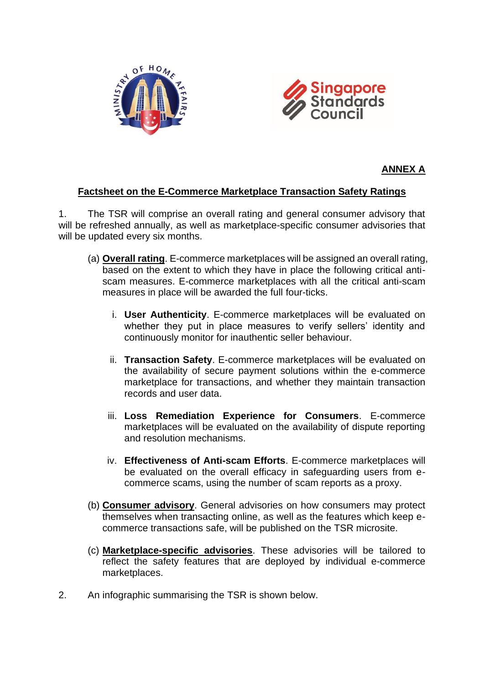



### **ANNEX A**

## **Factsheet on the E-Commerce Marketplace Transaction Safety Ratings**

1. The TSR will comprise an overall rating and general consumer advisory that will be refreshed annually, as well as marketplace-specific consumer advisories that will be updated every six months.

- (a) **Overall rating**. E-commerce marketplaces will be assigned an overall rating, based on the extent to which they have in place the following critical antiscam measures. E-commerce marketplaces with all the critical anti-scam measures in place will be awarded the full four-ticks.
	- i. **User Authenticity**. E-commerce marketplaces will be evaluated on whether they put in place measures to verify sellers' identity and continuously monitor for inauthentic seller behaviour.
	- ii. **Transaction Safety**. E-commerce marketplaces will be evaluated on the availability of secure payment solutions within the e-commerce marketplace for transactions, and whether they maintain transaction records and user data.
	- iii. **Loss Remediation Experience for Consumers**. E-commerce marketplaces will be evaluated on the availability of dispute reporting and resolution mechanisms.
	- iv. **Effectiveness of Anti-scam Efforts**. E-commerce marketplaces will be evaluated on the overall efficacy in safeguarding users from ecommerce scams, using the number of scam reports as a proxy.
- (b) **Consumer advisory**. General advisories on how consumers may protect themselves when transacting online, as well as the features which keep ecommerce transactions safe, will be published on the TSR microsite.
- (c) **Marketplace-specific advisories**. These advisories will be tailored to reflect the safety features that are deployed by individual e-commerce marketplaces.
- 2. An infographic summarising the TSR is shown below.